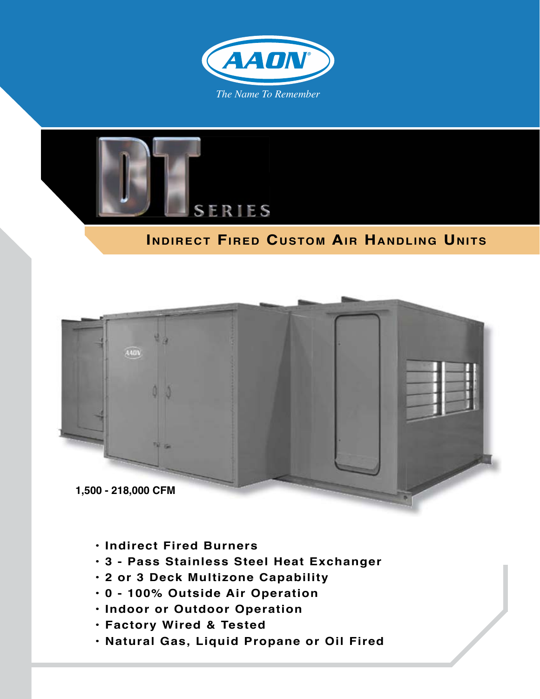



### **Indirect Fired Custom Air Handling Units**



- **Indirect Fired Burners**
- **3 Pass Stainless Steel Heat Exchanger**
- **2 or 3 Deck Multizone Capability**
- **0 100% Outside Air Operation**
- **Indoor or Outdoor Operation**
- **Factory Wired & Tested**
- **Natural Gas, Liquid Propane or Oil Fired**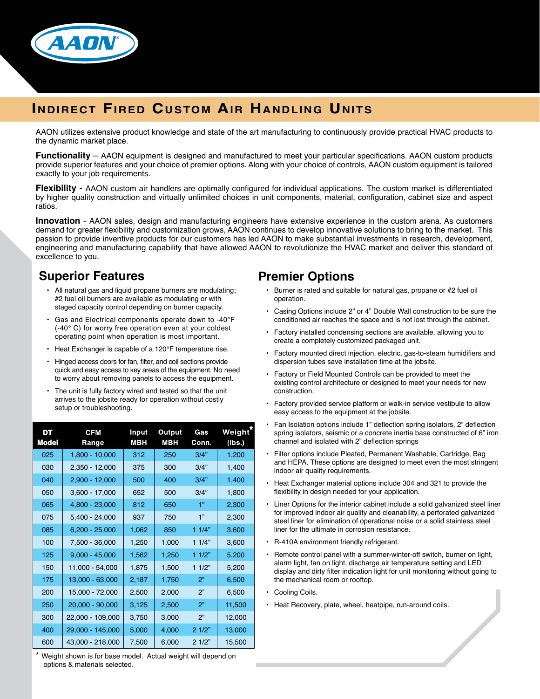

## **Indirect Fired Custom Air Handling Units**

AAON utilizes extensive product knowledge and state of the art manufacturing to continuously provide practical HVAC products to the dynamic market place.

**Functionality** – AAON equipment is designed and manufactured to meet your particular specifications. AAON custom products provide superior features and your choice of premier options. Along with your choice of controls, AAON custom equipment is tailored exactly to your job requirements.

**Flexibility** - AAON custom air handlers are optimally configured for individual applications. The custom market is differentiated by higher quality construction and virtually unlimited choices in unit components, material, configuration, cabinet size and aspect ratios.

**Innovation** - AAON sales, design and manufacturing engineers have extensive experience in the custom arena. As customers demand for greater flexibility and customization grows, AAON continues to develop innovative solutions to bring to the market. This passion to provide inventive products for our customers has led AAON to make substantial investments in research, development, engineering and manufacturing capability that have allowed AAON to revolutionize the HVAC market and deliver this standard of excellence to you.

#### **Superior Features**

- All natural gas and liquid propane burners are modulating; #2 fuel oil burners are available as modulating or with staged capacity control depending on burner capacity.
- Gas and Electrical components operate down to -40°F (-40° C) for worry free operation even at your coldest operating point when operation is most important.
- Heat Exchanger is capable of a 120°F temperature rise.
- Hinged access doors for fan, filter, and coil sections provide quick and easy access to key areas of the equipment. No need to worry about removing panels to access the equipment.
- The unit is fully factory wired and tested so that the unit arrives to the jobsite ready for operation without costly setup or troubleshooting. •

| DТ<br><b>Model</b> | <b>CFM</b><br>Range | Input<br>MBH | Output<br>MBH | Gas<br>Conn. | Weight ໊<br>(lbs.) |
|--------------------|---------------------|--------------|---------------|--------------|--------------------|
| 025                | 1,800 - 10,000      | 312          | 250           | 3/4"         | 1,200              |
| 030                | 2,350 - 12,000      | 375          | 300           | 3/4"         | 1,400              |
| 040                | $2,900 - 12,000$    | 500          | 400           | 3/4"         | 1,400              |
| 050                | $3,600 - 17,000$    | 652          | 500           | 3/4"         | 1,800              |
| 065                | 4,800 - 23,000      | 812          | 650           | 1"           | 2,300              |
| 075                | $5,400 - 24,000$    | 937          | 750           | 1"           | 2,300              |
| 085                | $6,200 - 25,000$    | 1,062        | 850           | 11/4"        | 3,600              |
| 100                | 7,500 - 36,000      | 1,250        | 1,000         | 11/4"        | 3,600              |
| 125                | $9,000 - 45,000$    | 1,562        | 1,250         | 11/2"        | 5,200              |
| 150                | 11,000 - 54,000     | 1,875        | 1,500         | 11/2"        | 5,200              |
| 175                | 13,000 - 63,000     | 2,187        | 1,750         | 2"           | 6,500              |
| 200                | 15,000 - 72,000     | 2,500        | 2,000         | 2"           | 6,500              |
| 250                | 20,000 - 90,000     | 3,125        | 2,500         | 2"           | 11,500             |
| 300                | 22,000 - 109,000    | 3,750        | 3,000         | 2"           | 12,000             |
| 400                | 29,000 - 145,000    | 5,000        | 4,000         | 21/2"        | 13,000             |
| 600                | 43,000 - 218,000    | 7,500        | 6,000         | 21/2"        | 15,500             |

\* Weight shown is for base model. Actual weight will depend on options & materials selected.

#### **Premier Options**

- Burner is rated and suitable for natural gas, propane or #2 fuel oil operation.
- Casing Options include 2" or 4" Double Wall construction to be sure the conditioned air reaches the space and is not lost through the cabinet.
- Factory installed condensing sections are available, allowing you to create a completely customized packaged unit.
- Factory mounted direct injection, electric, gas-to-steam humidifiers and dispersion tubes save installation time at the jobsite. •
- Factory or Field Mounted Controls can be provided to meet the existing control architecture or designed to meet your needs for new construction. •
- Factory provided service platform or walk-in service vestibule to allow easy access to the equipment at the jobsite.
- Fan Isolation options include 1" deflection spring isolators, 2" deflection spring isolators, seismic or a concrete inertia base constructed of 6" iron channel and isolated with 2" deflection springs •
- Filter options include Pleated, Permanent Washable, Cartridge, Bag and HEPA. These options are designed to meet even the most stringent indoor air quality requirements.
- Heat Exchanger material options include 304 and 321 to provide the flexibility in design needed for your application.
- Liner Options for the interior cabinet include a solid galvanized steel liner for improved indoor air quality and cleanability, a perforated galvanized steel liner for elimination of operational noise or a solid stainless steel liner for the ultimate in corrosion resistance.
- R-410A environment friendly refrigerant. •
- Remote control panel with a summer-winter-off switch, burner on light, alarm light, fan on light, discharge air temperature setting and LED display and dirty filter indication light for unit monitoring without going to the mechanical room or rooftop. •
- Cooling Coils.
- Heat Recovery, plate, wheel, heatpipe, run-around coils.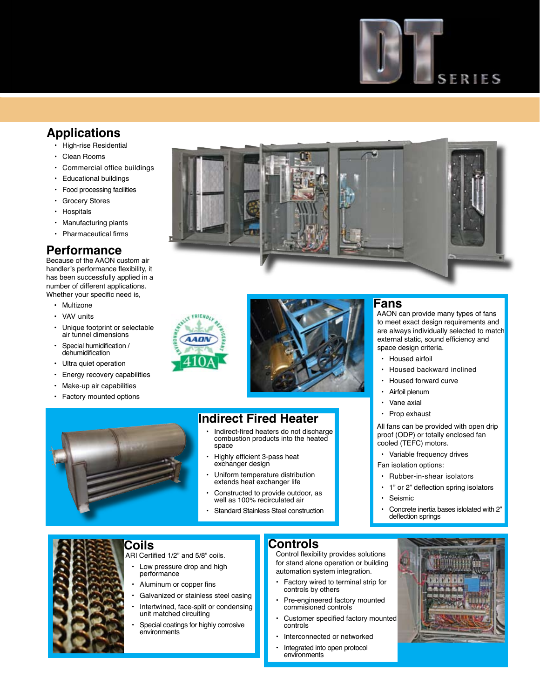

### **SERIES**

#### **Applications**

- High-rise Residential
- Clean Rooms •
- Commercial office buildings •
- Educational buildings •
- Food processing facilities
- Grocery Stores •
- Hospitals •
- Manufacturing plants •
- Pharmaceutical firms •

#### **Performance**

Because of the AAON custom air handler's performance flexibility, it has been successfully applied in a number of different applications. Whether your specific need is,

• Multizone

- VAV units •
- 
- Unique footprint or selectable air tunnel dimensions •
- Special humidification / dehumidification •
- Ultra quiet operation •
- Energy recovery capabilities •
- Make-up air capabilities
- Factory mounted options







#### **Indirect Fired Heater**

- Indirect-fired heaters do not discharge combustion products into the heated space •
- Highly efficient 3-pass heat exchanger design •
- Uniform temperature distribution extends heat exchanger life •
- Constructed to provide outdoor, as well as 100% recirculated air •
- Standard Stainless Steel construction •

# **Fans**

 AAON can provide many types of fans to meet exact design requirements and are always individually selected to match external static, sound efficiency and

- space design criteria. Housed airfoil •
- Housed backward inclined •
- Housed forward curve •
- Airfoil plenum •
- Vane axial •
- Prop exhaust •

 All fans can be provided with open drip proof (ODP) or totally enclosed fan cooled (TEFC) motors.

- Variable frequency drives •
- Fan isolation options:
- Rubber-in-shear isolators •
- 1" or 2" deflection spring isolators •
- Seismic •
- Concrete inertia bases islolated with 2" deflection springs •

#### **Coils** ARI Certified 1/2" and 5/8" coils. Low pressure drop and high performance •

•

- Aluminum or copper fins •
- Galvanized or stainless steel casing •
- Intertwined, face-split or condensing unit matched circuiting •
- Special coatings for highly corrosive environments

#### **Controls**

Control flexibility provides solutions for stand alone operation or building automation system integration.

- Factory wired to terminal strip for controls by others •
- Pre-engineered factory mounted commisioned controls •
- Customer specified factory mounted controls •
- Interconnected or networked •
- Integrated into open protocol environments •